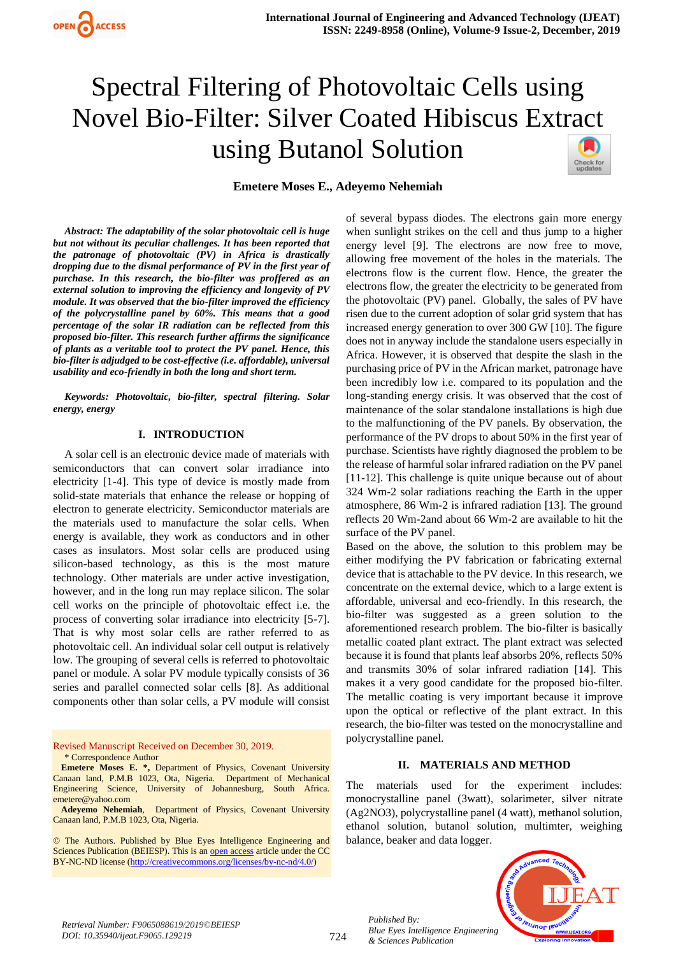

# Spectral Filtering of Photovoltaic Cells using Novel Bio-Filter: Silver Coated Hibiscus Extract using Butanol Solution



# **Emetere Moses E., Adeyemo Nehemiah**

*Abstract: The adaptability of the solar photovoltaic cell is huge but not without its peculiar challenges. It has been reported that the patronage of photovoltaic (PV) in Africa is drastically dropping due to the dismal performance of PV in the first year of purchase. In this research, the bio-filter was proffered as an external solution to improving the efficiency and longevity of PV module. It was observed that the bio-filter improved the efficiency of the polycrystalline panel by 60%. This means that a good percentage of the solar IR radiation can be reflected from this proposed bio-filter. This research further affirms the significance of plants as a veritable tool to protect the PV panel. Hence, this bio-filter is adjudged to be cost-effective (i.e. affordable), universal usability and eco-friendly in both the long and short term.*

*Keywords: Photovoltaic, bio-filter, spectral filtering. Solar energy, energy*

#### **I. INTRODUCTION**

A solar cell is an electronic device made of materials with semiconductors that can convert solar irradiance into electricity [1-4]. This type of device is mostly made from solid-state materials that enhance the release or hopping of electron to generate electricity. Semiconductor materials are the materials used to manufacture the solar cells. When energy is available, they work as conductors and in other cases as insulators. Most solar cells are produced using silicon-based technology, as this is the most mature technology. Other materials are under active investigation, however, and in the long run may replace silicon. The solar cell works on the principle of photovoltaic effect i.e. the process of converting solar irradiance into electricity [5-7]. That is why most solar cells are rather referred to as photovoltaic cell. An individual solar cell output is relatively low. The grouping of several cells is referred to photovoltaic panel or module. A solar PV module typically consists of 36 series and parallel connected solar cells [8]. As additional components other than solar cells, a PV module will consist

Revised Manuscript Received on December 30, 2019. \* Correspondence Author

**Emetere Moses E. \*,** Department of Physics, Covenant University Canaan land, P.M.B 1023, Ota, Nigeria. Department of Mechanical Engineering Science, University of Johannesburg, South Africa. emetere@yahoo.com

**Adeyemo Nehemiah**, Department of Physics, Covenant University Canaan land, P.M.B 1023, Ota, Nigeria.

© The Authors. Published by Blue Eyes Intelligence Engineering and Sciences Publication (BEIESP). This is a[n open access](https://www.openaccess.nl/en/open-publications) article under the CC BY-NC-ND license [\(http://creativecommons.org/licenses/by-nc-nd/4.0/\)](http://creativecommons.org/licenses/by-nc-nd/4.0/)

of several bypass diodes. The electrons gain more energy when sunlight strikes on the cell and thus jump to a higher energy level [9]. The electrons are now free to move, allowing free movement of the holes in the materials. The electrons flow is the current flow. Hence, the greater the electrons flow, the greater the electricity to be generated from the photovoltaic (PV) panel. Globally, the sales of PV have risen due to the current adoption of solar grid system that has increased energy generation to over 300 GW [10]. The figure does not in anyway include the standalone users especially in Africa. However, it is observed that despite the slash in the purchasing price of PV in the African market, patronage have been incredibly low i.e. compared to its population and the long-standing energy crisis. It was observed that the cost of maintenance of the solar standalone installations is high due to the malfunctioning of the PV panels. By observation, the performance of the PV drops to about 50% in the first year of purchase. Scientists have rightly diagnosed the problem to be the release of harmful solar infrared radiation on the PV panel [11-12]. This challenge is quite unique because out of about 324 Wm-2 solar radiations reaching the Earth in the upper atmosphere, 86 Wm-2 is infrared radiation [13]. The ground reflects 20 Wm-2and about 66 Wm-2 are available to hit the surface of the PV panel.

Based on the above, the solution to this problem may be either modifying the PV fabrication or fabricating external device that is attachable to the PV device. In this research, we concentrate on the external device, which to a large extent is affordable, universal and eco-friendly. In this research, the bio-filter was suggested as a green solution to the aforementioned research problem. The bio-filter is basically metallic coated plant extract. The plant extract was selected because it is found that plants leaf absorbs 20%, reflects 50% and transmits 30% of solar infrared radiation [14]. This makes it a very good candidate for the proposed bio-filter. The metallic coating is very important because it improve upon the optical or reflective of the plant extract. In this research, the bio-filter was tested on the monocrystalline and polycrystalline panel.

#### **II. MATERIALS AND METHOD**

The materials used for the experiment includes: monocrystalline panel (3watt), solarimeter, silver nitrate (Ag2NO3), polycrystalline panel (4 watt), methanol solution, ethanol solution, butanol solution, multimter, weighing balance, beaker and data logger.



*Retrieval Number: F9065088619/2019©BEIESP DOI: 10.35940/ijeat.F9065.129219*

*Published By:*

*& Sciences Publication*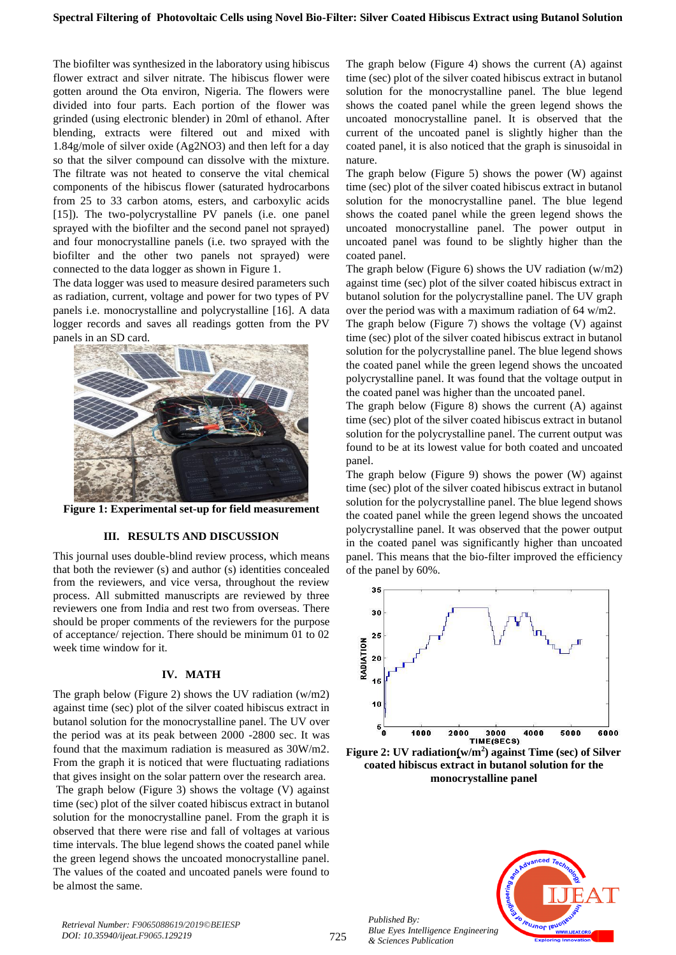# **Spectral Filtering of Photovoltaic Cells using Novel Bio-Filter: Silver Coated Hibiscus Extract using Butanol Solution**

The biofilter was synthesized in the laboratory using hibiscus flower extract and silver nitrate. The hibiscus flower were gotten around the Ota environ, Nigeria. The flowers were divided into four parts. Each portion of the flower was grinded (using electronic blender) in 20ml of ethanol. After blending, extracts were filtered out and mixed with 1.84g/mole of silver oxide (Ag2NO3) and then left for a day so that the silver compound can dissolve with the mixture. The filtrate was not heated to conserve the vital chemical components of the hibiscus flower (saturated hydrocarbons from 25 to 33 carbon atoms, esters, and carboxylic acids [15]). The two-polycrystalline PV panels (i.e. one panel sprayed with the biofilter and the second panel not sprayed) and four monocrystalline panels (i.e. two sprayed with the biofilter and the other two panels not sprayed) were connected to the data logger as shown in Figure 1.

The data logger was used to measure desired parameters such as radiation, current, voltage and power for two types of PV panels i.e. monocrystalline and polycrystalline [16]. A data logger records and saves all readings gotten from the PV panels in an SD card.



**Figure 1: Experimental set-up for field measurement**

# **III. RESULTS AND DISCUSSION**

This journal uses double-blind review process, which means that both the reviewer (s) and author (s) identities concealed from the reviewers, and vice versa, throughout the review process. All submitted manuscripts are reviewed by three reviewers one from India and rest two from overseas. There should be proper comments of the reviewers for the purpose of acceptance/ rejection. There should be minimum 01 to 02 week time window for it.

# **IV. MATH**

The graph below (Figure 2) shows the UV radiation (w/m2) against time (sec) plot of the silver coated hibiscus extract in butanol solution for the monocrystalline panel. The UV over the period was at its peak between 2000 -2800 sec. It was found that the maximum radiation is measured as 30W/m2. From the graph it is noticed that were fluctuating radiations that gives insight on the solar pattern over the research area. The graph below (Figure 3) shows the voltage (V) against time (sec) plot of the silver coated hibiscus extract in butanol solution for the monocrystalline panel. From the graph it is observed that there were rise and fall of voltages at various time intervals. The blue legend shows the coated panel while the green legend shows the uncoated monocrystalline panel. The values of the coated and uncoated panels were found to be almost the same.

The graph below (Figure 4) shows the current (A) against time (sec) plot of the silver coated hibiscus extract in butanol solution for the monocrystalline panel. The blue legend shows the coated panel while the green legend shows the uncoated monocrystalline panel. It is observed that the current of the uncoated panel is slightly higher than the coated panel, it is also noticed that the graph is sinusoidal in nature.

The graph below (Figure 5) shows the power (W) against time (sec) plot of the silver coated hibiscus extract in butanol solution for the monocrystalline panel. The blue legend shows the coated panel while the green legend shows the uncoated monocrystalline panel. The power output in uncoated panel was found to be slightly higher than the coated panel.

The graph below (Figure 6) shows the UV radiation (w/m2) against time (sec) plot of the silver coated hibiscus extract in butanol solution for the polycrystalline panel. The UV graph over the period was with a maximum radiation of 64 w/m2.

The graph below (Figure 7) shows the voltage (V) against time (sec) plot of the silver coated hibiscus extract in butanol solution for the polycrystalline panel. The blue legend shows the coated panel while the green legend shows the uncoated polycrystalline panel. It was found that the voltage output in the coated panel was higher than the uncoated panel.

The graph below (Figure 8) shows the current (A) against time (sec) plot of the silver coated hibiscus extract in butanol solution for the polycrystalline panel. The current output was found to be at its lowest value for both coated and uncoated panel.

The graph below (Figure 9) shows the power (W) against time (sec) plot of the silver coated hibiscus extract in butanol solution for the polycrystalline panel. The blue legend shows the coated panel while the green legend shows the uncoated polycrystalline panel. It was observed that the power output in the coated panel was significantly higher than uncoated panel. This means that the bio-filter improved the efficiency of the panel by 60%.



**Figure 2: UV radiation(w/m<sup>2</sup> ) against Time (sec) of Silver coated hibiscus extract in butanol solution for the monocrystalline panel**



*Published By: Blue Eyes Intelligence Engineering & Sciences Publication*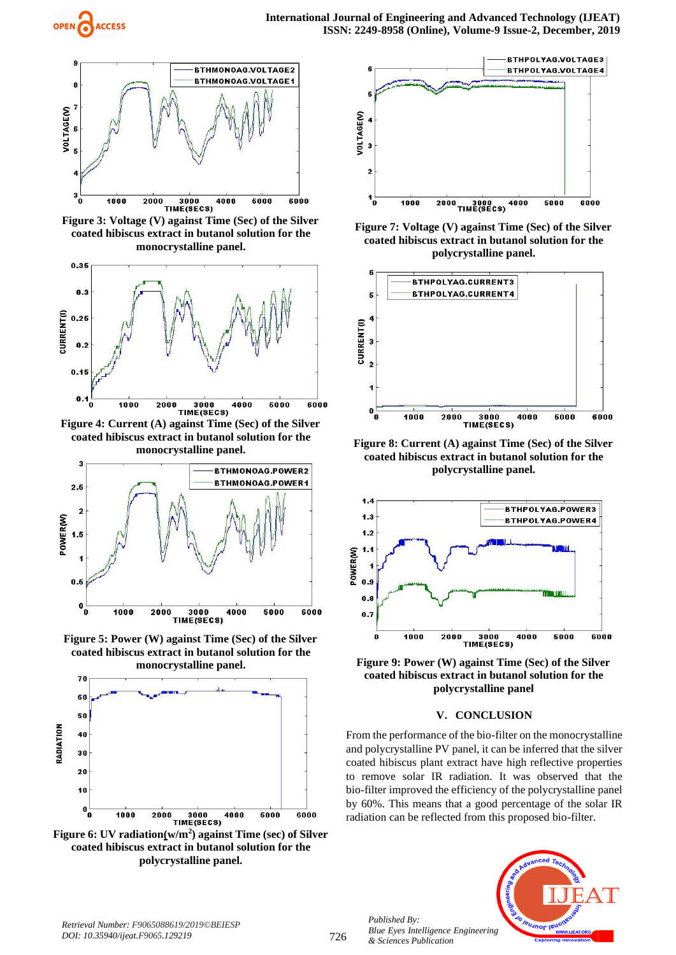

**Figure 3: Voltage (V) against Time (Sec) of the Silver coated hibiscus extract in butanol solution for the monocrystalline panel.**



**Figure 4: Current (A) against Time (Sec) of the Silver coated hibiscus extract in butanol solution for the monocrystalline panel.**



**Figure 5: Power (W) against Time (Sec) of the Silver coated hibiscus extract in butanol solution for the monocrystalline panel.**



**Figure 6: UV radiation(w/m<sup>2</sup> ) against Time (sec) of Silver coated hibiscus extract in butanol solution for the polycrystalline panel.**



**Figure 7: Voltage (V) against Time (Sec) of the Silver coated hibiscus extract in butanol solution for the polycrystalline panel.**



**Figure 8: Current (A) against Time (Sec) of the Silver coated hibiscus extract in butanol solution for the polycrystalline panel.**



**Figure 9: Power (W) against Time (Sec) of the Silver coated hibiscus extract in butanol solution for the polycrystalline panel**

# **V. CONCLUSION**

From the performance of the bio-filter on the monocrystalline and polycrystalline PV panel, it can be inferred that the silver coated hibiscus plant extract have high reflective properties to remove solar IR radiation. It was observed that the bio-filter improved the efficiency of the polycrystalline panel by 60%. This means that a good percentage of the solar IR radiation can be reflected from this proposed bio-filter.



*Published By:*

*& Sciences Publication*